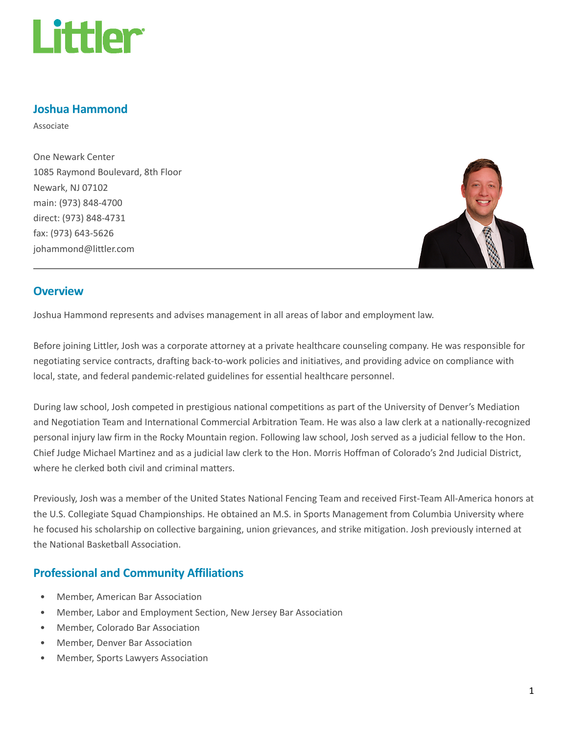

### Joshua Hammond

Associate

One Newark Center 1085 Raymond Boulevard, 8th Floor Newark, NJ 07102 main: (973) 848-4700 direct: (973) 848-4731 fax: (973) 643-5626 johammond@littler.com



#### **Overview**

Joshua Hammond represents and advises management in all areas of labor and employment law.

Before joining Littler, Josh was a corporate attorney at a private healthcare counseling company. He was responsible for negotiating service contracts, drafting back-to-work policies and initiatives, and providing advice on compliance with local, state, and federal pandemic-related guidelines for essential healthcare personnel.

During law school, Josh competed in prestigious national competitions as part of the University of Denver's Mediation and Negotiation Team and International Commercial Arbitration Team. He was also a law clerk at a nationally-recognized personal injury law firm in the Rocky Mountain region. Following law school, Josh served as a judicial fellow to the Hon. Chief Judge Michael Martinez and as a judicial law clerk to the Hon. Morris Hoffman of Colorado's 2nd Judicial District, where he clerked both civil and criminal matters.

Previously, Josh was a member of the United States National Fencing Team and received First-Team All-America honors at the U.S. Collegiate Squad Championships. He obtained an M.S. in Sports Management from Columbia University where he focused his scholarship on collective bargaining, union grievances, and strike mitigation. Josh previously interned at the National Basketball Association.

# Professional and Community Affiliations

- Member, American Bar Association
- Member, Labor and Employment Section, New Jersey Bar Association
- Member, Colorado Bar Association
- Member, Denver Bar Association
- Member, Sports Lawyers Association